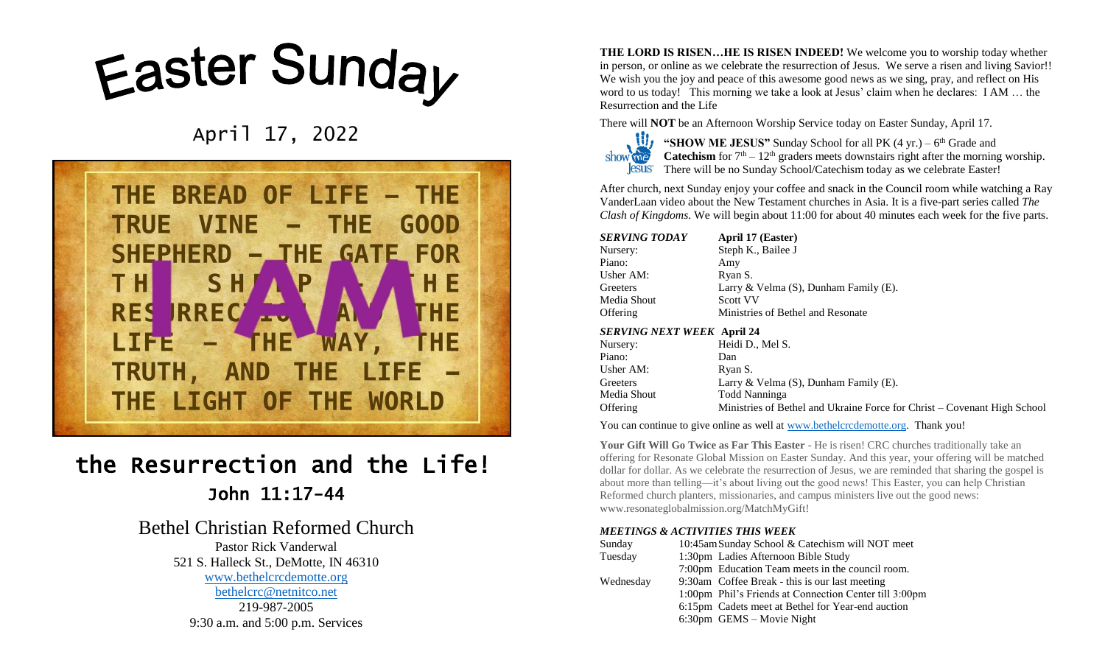# Easter Sunday

April 17, 2022



## the Resurrection and the Life! John 11:17-44

### Bethel Christian Reformed Church

Pastor Rick Vanderwal 521 S. Halleck St., DeMotte, IN 46310 [www.bethelcrcdemotte.org](http://www.bethelcrcdemotte.org/) [bethelcrc@netnitco.net](mailto:bethelcrc@netnitco.net) 219-987-2005 9:30 a.m. and 5:00 p.m. Services

**THE LORD IS RISEN…HE IS RISEN INDEED!** We welcome you to worship today whether in person, or online as we celebrate the resurrection of Jesus. We serve a risen and living Savior!! We wish you the joy and peace of this awesome good news as we sing, pray, and reflect on His word to us today! This morning we take a look at Jesus' claim when he declares: I AM … the Resurrection and the Life

There will **NOT** be an Afternoon Worship Service today on Easter Sunday, April 17.



"SHOW ME JESUS" Sunday School for all PK (4 yr.) – 6<sup>th</sup> Grade and **Catechism** for  $7<sup>th</sup> - 12<sup>th</sup>$  graders meets downstairs right after the morning worship. There will be no Sunday School/Catechism today as we celebrate Easter!

After church, next Sunday enjoy your coffee and snack in the Council room while watching a Ray VanderLaan video about the New Testament churches in Asia. It is a five-part series called *The Clash of Kingdoms*. We will begin about 11:00 for about 40 minutes each week for the five parts.

| SERVING TODAY | April 17 (Easter)                           |
|---------------|---------------------------------------------|
| Nursery:      | Steph K., Bailee J                          |
| Piano:        | Amy                                         |
| Usher AM:     | Ryan S.                                     |
| Greeters      | Larry & Velma $(S)$ , Dunham Family $(E)$ . |
| Media Shout   | <b>Scott VV</b>                             |
| Offering      | Ministries of Bethel and Resonate           |
|               |                                             |

#### *SERVING NEXT WEEK* **April 24**

| ~~~~~~~~~~~~~~~~~~~~~~~~~~~~ |                                                                          |
|------------------------------|--------------------------------------------------------------------------|
| Nursery:                     | Heidi D., Mel S.                                                         |
| Piano:                       | Dan                                                                      |
| Usher AM:                    | Ryan S.                                                                  |
| Greeters                     | Larry & Velma $(S)$ , Dunham Family $(E)$ .                              |
| Media Shout                  | Todd Nanninga                                                            |
| Offering                     | Ministries of Bethel and Ukraine Force for Christ – Covenant High School |
|                              |                                                                          |

You can continue to give online as well at [www.bethelcrcdemotte.org.](http://www.bethelcrcdemotte.org/) Thank you!

**Your Gift Will Go Twice as Far This Easter** - He is risen! CRC churches traditionally take an offering for Resonate Global Mission on Easter Sunday. And this year, your offering will be matched dollar for dollar. As we celebrate the resurrection of Jesus, we are reminded that sharing the gospel is about more than telling—it's about living out the good news! This Easter, you can help Christian Reformed church planters, missionaries, and campus ministers live out the good news: www.resonateglobalmission.org/MatchMyGift!

#### *MEETINGS & ACTIVITIES THIS WEEK*

| Sunday    | 10:45am Sunday School & Catechism will NOT meet        |
|-----------|--------------------------------------------------------|
| Tuesday   | 1:30pm Ladies Afternoon Bible Study                    |
|           | 7:00pm Education Team meets in the council room.       |
| Wednesday | 9:30am Coffee Break - this is our last meeting         |
|           | 1:00pm Phil's Friends at Connection Center till 3:00pm |
|           | 6:15pm Cadets meet at Bethel for Year-end auction      |
|           | 6:30pm GEMS - Movie Night                              |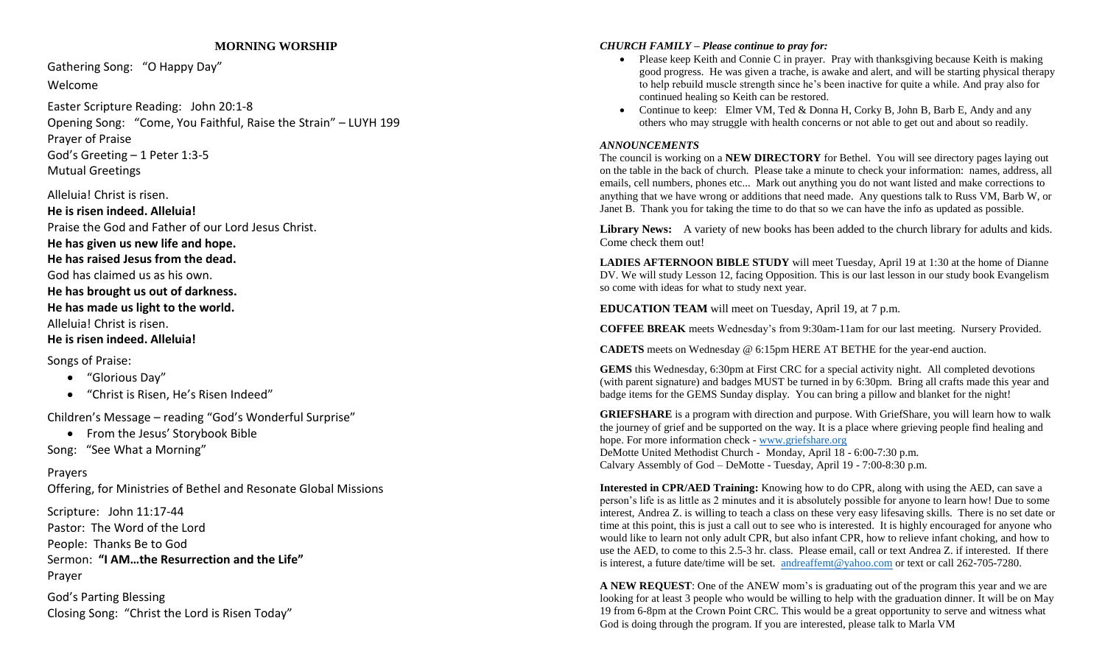#### **MORNING WORSHIP**

Gathering Song: "O Happy Day"

Welcome

Easter Scripture Reading: John 20:1-8 Opening Song: "Come, You Faithful, Raise the Strain" – LUYH 199 Prayer of Praise God's Greeting – 1 Peter 1:3-5 Mutual Greetings

Alleluia! Christ is risen.

**He is risen indeed. Alleluia!** Praise the God and Father of our Lord Jesus Christ. **He has given us new life and hope. He has raised Jesus from the dead.** God has claimed us as his own. **He has brought us out of darkness. He has made us light to the world.** Alleluia! Christ is risen. **He is risen indeed. Alleluia!** 

Songs of Praise:

- "Glorious Day"
- "Christ is Risen, He's Risen Indeed"

Children's Message – reading "God's Wonderful Surprise"

• From the Jesus' Storybook Bible

Song: "See What a Morning"

#### Prayers

Offering, for Ministries of Bethel and Resonate Global Missions

Scripture: John 11:17-44 Pastor: The Word of the Lord People: Thanks Be to God Sermon: **"I AM…the Resurrection and the Life"** Prayer

God's Parting Blessing Closing Song: "Christ the Lord is Risen Today"

#### *CHURCH FAMILY – Please continue to pray for:*

- Please keep Keith and Connie C in prayer. Pray with thanksgiving because Keith is making good progress. He was given a trache, is awake and alert, and will be starting physical therapy to help rebuild muscle strength since he's been inactive for quite a while. And pray also for continued healing so Keith can be restored.
- Continue to keep: Elmer VM, Ted & Donna H, Corky B, John B, Barb E, Andy and any others who may struggle with health concerns or not able to get out and about so readily.

#### *ANNOUNCEMENTS*

The council is working on a **NEW DIRECTORY** for Bethel. You will see directory pages laying out on the table in the back of church. Please take a minute to check your information: names, address, all emails, cell numbers, phones etc... Mark out anything you do not want listed and make corrections to anything that we have wrong or additions that need made. Any questions talk to Russ VM, Barb W, or Janet B. Thank you for taking the time to do that so we can have the info as updated as possible.

Library News: A variety of new books has been added to the church library for adults and kids. Come check them out!

**LADIES AFTERNOON BIBLE STUDY** will meet Tuesday, April 19 at 1:30 at the home of Dianne DV. We will study Lesson 12, facing Opposition. This is our last lesson in our study book Evangelism so come with ideas for what to study next year.

**EDUCATION TEAM** will meet on Tuesday, April 19, at 7 p.m.

**COFFEE BREAK** meets Wednesday's from 9:30am-11am for our last meeting. Nursery Provided.

**CADETS** meets on Wednesday @ 6:15pm HERE AT BETHE for the year-end auction.

**GEMS** this Wednesday, 6:30pm at First CRC for a special activity night. All completed devotions (with parent signature) and badges MUST be turned in by 6:30pm. Bring all crafts made this year and badge items for the GEMS Sunday display. You can bring a pillow and blanket for the night!

**GRIEFSHARE** is a program with direction and purpose. With GriefShare, you will learn how to walk the journey of grief and be supported on the way. It is a place where grieving people find healing and hope. For more information check - [www.griefshare.org](http://www.griefshare.org/) DeMotte United Methodist Church - Monday, April 18 - 6:00-7:30 p.m. Calvary Assembly of God – DeMotte - Tuesday, April 19 - 7:00-8:30 p.m.

**Interested in CPR/AED Training:** Knowing how to do CPR, along with using the AED, can save a person's life is as little as 2 minutes and it is absolutely possible for anyone to learn how! Due to some interest, Andrea Z. is willing to teach a class on these very easy lifesaving skills. There is no set date or time at this point, this is just a call out to see who is interested. It is highly encouraged for anyone who would like to learn not only adult CPR, but also infant CPR, how to relieve infant choking, and how to use the AED, to come to this 2.5-3 hr. class. Please email, call or text Andrea Z. if interested. If there is interest, a future date/time will be set. [andreaffemt@yahoo.com](mailto:andreaffemt@yahoo.com) or text or call 262-705-7280.

**A NEW REQUEST**: One of the ANEW mom's is graduating out of the program this year and we are looking for at least 3 people who would be willing to help with the graduation dinner. It will be on May 19 from 6-8pm at the Crown Point CRC. This would be a great opportunity to serve and witness what God is doing through the program. If you are interested, please talk to Marla VM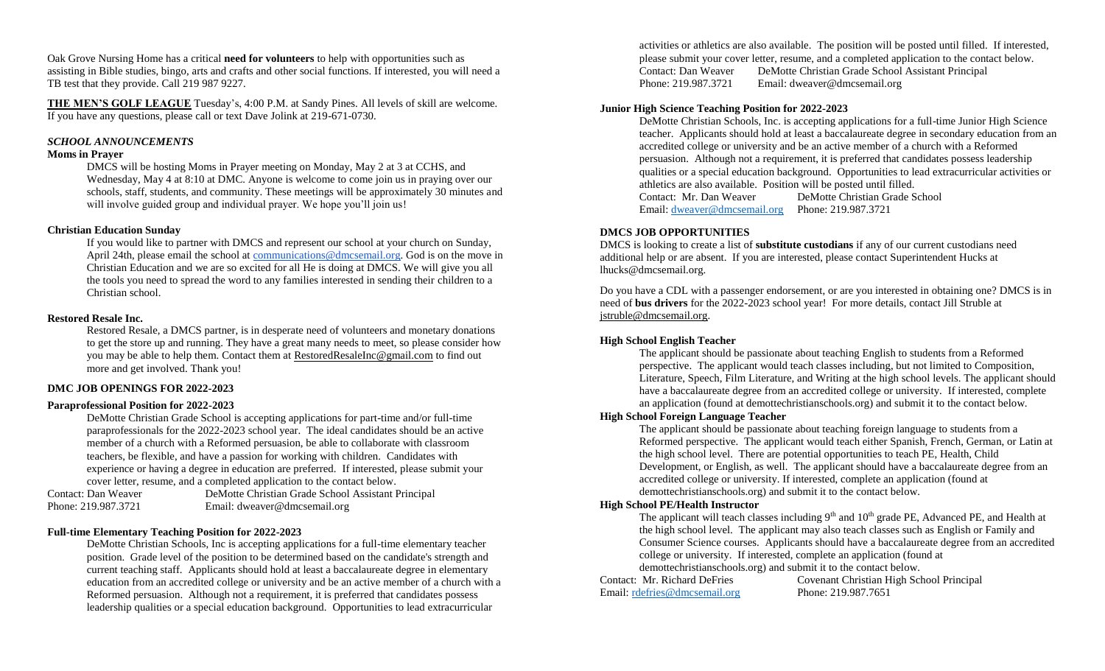Oak Grove Nursing Home has a critical **need for volunteers** to help with opportunities such as assisting in Bible studies, bingo, arts and crafts and other social functions. If interested, you will need a TB test that they provide. Call 219 987 9227.

**THE MEN'S GOLF LEAGUE** Tuesday's, 4:00 P.M. at Sandy Pines. All levels of skill are welcome. If you have any questions, please call or text Dave Jolink at 219-671-0730.

#### *SCHOOL ANNOUNCEMENTS*

#### **Moms in Prayer**

DMCS will be hosting Moms in Prayer meeting on Monday, May 2 at 3 at CCHS, and Wednesday, May 4 at 8:10 at DMC. Anyone is welcome to come join us in praying over our schools, staff, students, and community. These meetings will be approximately 30 minutes and will involve guided group and individual prayer. We hope you'll join us!

#### **Christian Education Sunday**

If you would like to partner with DMCS and represent our school at your church on Sunday, April 24th, please email the school at [communications@dmcsemail.org.](mailto:communications@dmcsemail.org) God is on the move in Christian Education and we are so excited for all He is doing at DMCS. We will give you all the tools you need to spread the word to any families interested in sending their children to a Christian school.

#### **Restored Resale Inc.**

Restored Resale, a DMCS partner, is in desperate need of volunteers and monetary donations to get the store up and running. They have a great many needs to meet, so please consider how you may be able to help them. Contact them at [RestoredResaleInc@gmail.com](mailto:RestoredResaleInc@gmail.com) to find out more and get involved. Thank you!

#### **DMC JOB OPENINGS FOR 2022-2023**

#### **Paraprofessional Position for 2022-2023**

DeMotte Christian Grade School is accepting applications for part-time and/or full-time paraprofessionals for the 2022-2023 school year. The ideal candidates should be an active member of a church with a Reformed persuasion, be able to collaborate with classroom teachers, be flexible, and have a passion for working with children. Candidates with experience or having a degree in education are preferred. If interested, please submit your cover letter, resume, and a completed application to the contact below.

| Contact: Dan Weaver | DeMotte Christian Grade School Assistant Principal |
|---------------------|----------------------------------------------------|
| Phone: 219.987.3721 | Email: dweaver@dmcsemail.org                       |

#### **Full-time Elementary Teaching Position for 2022-2023**

DeMotte Christian Schools, Inc is accepting applications for a full-time elementary teacher position. Grade level of the position to be determined based on the candidate's strength and current teaching staff. Applicants should hold at least a baccalaureate degree in elementary education from an accredited college or university and be an active member of a church with a Reformed persuasion. Although not a requirement, it is preferred that candidates possess leadership qualities or a special education background. Opportunities to lead extracurricular

activities or athletics are also available. The position will be posted until filled. If interested, please submit your cover letter, resume, and a completed application to the contact below. Contact: Dan Weaver DeMotte Christian Grade School Assistant Principal Phone: 219.987.3721 Email: dweaver@dmcsemail.org

#### **Junior High Science Teaching Position for 2022-2023**

DeMotte Christian Schools, Inc. is accepting applications for a full-time Junior High Science teacher. Applicants should hold at least a baccalaureate degree in secondary education from an accredited college or university and be an active member of a church with a Reformed persuasion. Although not a requirement, it is preferred that candidates possess leadership qualities or a special education background. Opportunities to lead extracurricular activities or athletics are also available. Position will be posted until filled.

Contact: Mr. Dan Weaver DeMotte Christian Grade School Email: [dweaver@dmcsemail.org](mailto:dweaver@dmcsemail.org) Phone: 219.987.3721

#### **DMCS JOB OPPORTUNITIES**

DMCS is looking to create a list of **substitute custodians** if any of our current custodians need additional help or are absent. If you are interested, please contact Superintendent Hucks at lhucks@dmcsemail.org.

Do you have a CDL with a passenger endorsement, or are you interested in obtaining one? DMCS is in need of **bus drivers** for the 2022-2023 school year! For more details, contact Jill Struble at [jstruble@dmcsemail.org.](mailto:jstruble@dmcsemail.org)

#### **High School English Teacher**

The applicant should be passionate about teaching English to students from a Reformed perspective. The applicant would teach classes including, but not limited to Composition, Literature, Speech, Film Literature, and Writing at the high school levels. The applicant should have a baccalaureate degree from an accredited college or university. If interested, complete an application (found at demottechristianschools.org) and submit it to the contact below.

#### **High School Foreign Language Teacher**

The applicant should be passionate about teaching foreign language to students from a Reformed perspective. The applicant would teach either Spanish, French, German, or Latin at the high school level. There are potential opportunities to teach PE, Health, Child Development, or English, as well. The applicant should have a baccalaureate degree from an accredited college or university. If interested, complete an application (found at demottechristianschools.org) and submit it to the contact below.

#### **High School PE/Health Instructor**

The applicant will teach classes including  $9<sup>th</sup>$  and  $10<sup>th</sup>$  grade PE, Advanced PE, and Health at the high school level. The applicant may also teach classes such as English or Family and Consumer Science courses. Applicants should have a baccalaureate degree from an accredited college or university. If interested, complete an application (found at demottechristianschools.org) and submit it to the contact below.

Email: [rdefries@dmcsemail.org](mailto:rdefries@dmcsemail.org) Phone: 219.987.7651

Contact: Mr. Richard DeFries Covenant Christian High School Principal